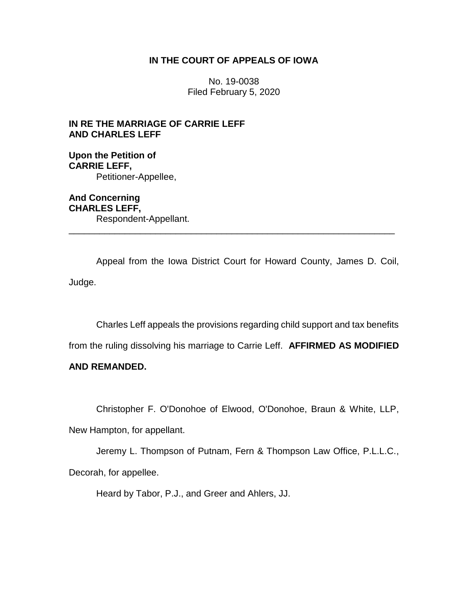## **IN THE COURT OF APPEALS OF IOWA**

No. 19-0038 Filed February 5, 2020

# **IN RE THE MARRIAGE OF CARRIE LEFF AND CHARLES LEFF**

**Upon the Petition of CARRIE LEFF,** Petitioner-Appellee,

**And Concerning CHARLES LEFF,** Respondent-Appellant. \_\_\_\_\_\_\_\_\_\_\_\_\_\_\_\_\_\_\_\_\_\_\_\_\_\_\_\_\_\_\_\_\_\_\_\_\_\_\_\_\_\_\_\_\_\_\_\_\_\_\_\_\_\_\_\_\_\_\_\_\_\_\_\_

Appeal from the Iowa District Court for Howard County, James D. Coil, Judge.

Charles Leff appeals the provisions regarding child support and tax benefits

from the ruling dissolving his marriage to Carrie Leff. **AFFIRMED AS MODIFIED** 

## **AND REMANDED.**

Christopher F. O'Donohoe of Elwood, O'Donohoe, Braun & White, LLP,

New Hampton, for appellant.

Jeremy L. Thompson of Putnam, Fern & Thompson Law Office, P.L.L.C., Decorah, for appellee.

Heard by Tabor, P.J., and Greer and Ahlers, JJ.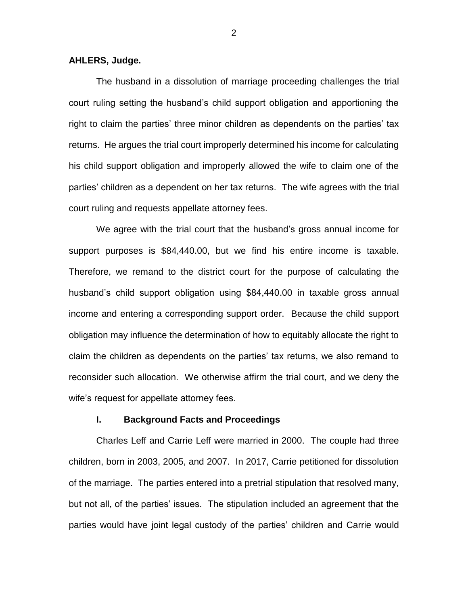### **AHLERS, Judge.**

The husband in a dissolution of marriage proceeding challenges the trial court ruling setting the husband's child support obligation and apportioning the right to claim the parties' three minor children as dependents on the parties' tax returns. He argues the trial court improperly determined his income for calculating his child support obligation and improperly allowed the wife to claim one of the parties' children as a dependent on her tax returns. The wife agrees with the trial court ruling and requests appellate attorney fees.

We agree with the trial court that the husband's gross annual income for support purposes is \$84,440.00, but we find his entire income is taxable. Therefore, we remand to the district court for the purpose of calculating the husband's child support obligation using \$84,440.00 in taxable gross annual income and entering a corresponding support order. Because the child support obligation may influence the determination of how to equitably allocate the right to claim the children as dependents on the parties' tax returns, we also remand to reconsider such allocation. We otherwise affirm the trial court, and we deny the wife's request for appellate attorney fees.

### **I. Background Facts and Proceedings**

Charles Leff and Carrie Leff were married in 2000. The couple had three children, born in 2003, 2005, and 2007. In 2017, Carrie petitioned for dissolution of the marriage. The parties entered into a pretrial stipulation that resolved many, but not all, of the parties' issues. The stipulation included an agreement that the parties would have joint legal custody of the parties' children and Carrie would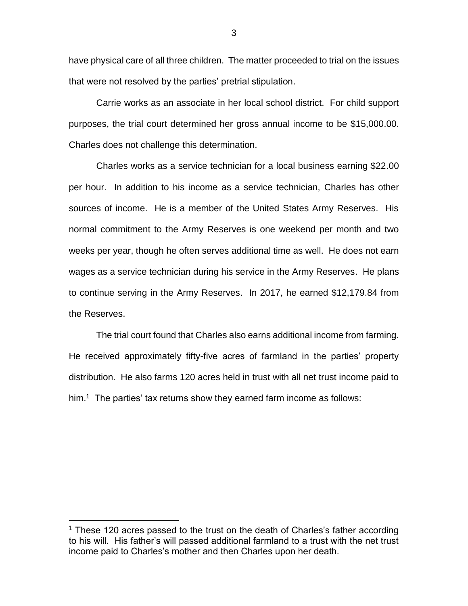have physical care of all three children. The matter proceeded to trial on the issues that were not resolved by the parties' pretrial stipulation.

Carrie works as an associate in her local school district. For child support purposes, the trial court determined her gross annual income to be \$15,000.00. Charles does not challenge this determination.

Charles works as a service technician for a local business earning \$22.00 per hour. In addition to his income as a service technician, Charles has other sources of income. He is a member of the United States Army Reserves. His normal commitment to the Army Reserves is one weekend per month and two weeks per year, though he often serves additional time as well. He does not earn wages as a service technician during his service in the Army Reserves. He plans to continue serving in the Army Reserves. In 2017, he earned \$12,179.84 from the Reserves.

The trial court found that Charles also earns additional income from farming. He received approximately fifty-five acres of farmland in the parties' property distribution. He also farms 120 acres held in trust with all net trust income paid to him.<sup>1</sup> The parties' tax returns show they earned farm income as follows:

 $\overline{a}$ 

<sup>&</sup>lt;sup>1</sup> These 120 acres passed to the trust on the death of Charles's father according to his will. His father's will passed additional farmland to a trust with the net trust income paid to Charles's mother and then Charles upon her death.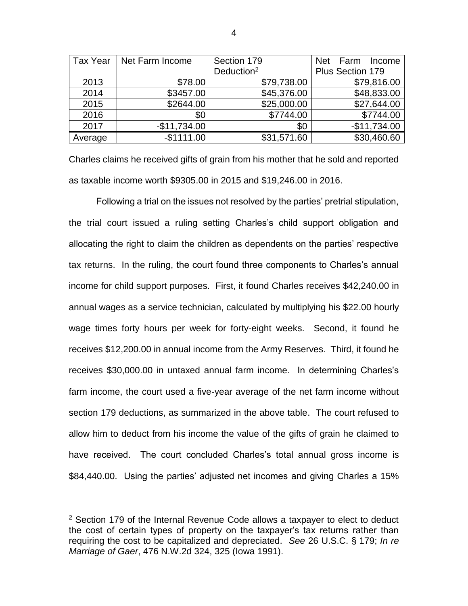| <b>Tax Year</b> | Net Farm Income | Section 179            | Net Farm<br>Income |
|-----------------|-----------------|------------------------|--------------------|
|                 |                 | Deduction <sup>2</sup> | Plus Section 179   |
| 2013            | \$78.00         | \$79,738.00            | \$79,816.00        |
| 2014            | \$3457.00       | \$45,376.00            | \$48,833.00        |
| 2015            | \$2644.00       | \$25,000.00            | \$27,644.00        |
| 2016            | \$0             | \$7744.00              | \$7744.00          |
| 2017            | $-$11,734.00$   | \$0                    | $-$11,734.00$      |
| Average         | $-$1111.00$     | \$31,571.60            | \$30,460.60        |

Charles claims he received gifts of grain from his mother that he sold and reported as taxable income worth \$9305.00 in 2015 and \$19,246.00 in 2016.

Following a trial on the issues not resolved by the parties' pretrial stipulation, the trial court issued a ruling setting Charles's child support obligation and allocating the right to claim the children as dependents on the parties' respective tax returns. In the ruling, the court found three components to Charles's annual income for child support purposes. First, it found Charles receives \$42,240.00 in annual wages as a service technician, calculated by multiplying his \$22.00 hourly wage times forty hours per week for forty-eight weeks. Second, it found he receives \$12,200.00 in annual income from the Army Reserves. Third, it found he receives \$30,000.00 in untaxed annual farm income. In determining Charles's farm income, the court used a five-year average of the net farm income without section 179 deductions, as summarized in the above table. The court refused to allow him to deduct from his income the value of the gifts of grain he claimed to have received. The court concluded Charles's total annual gross income is \$84,440.00. Using the parties' adjusted net incomes and giving Charles a 15%

 $\overline{a}$ 

 $2$  Section 179 of the Internal Revenue Code allows a taxpayer to elect to deduct the cost of certain types of property on the taxpayer's tax returns rather than requiring the cost to be capitalized and depreciated. *See* 26 U.S.C. § 179; *In re Marriage of Gaer*, 476 N.W.2d 324, 325 (Iowa 1991).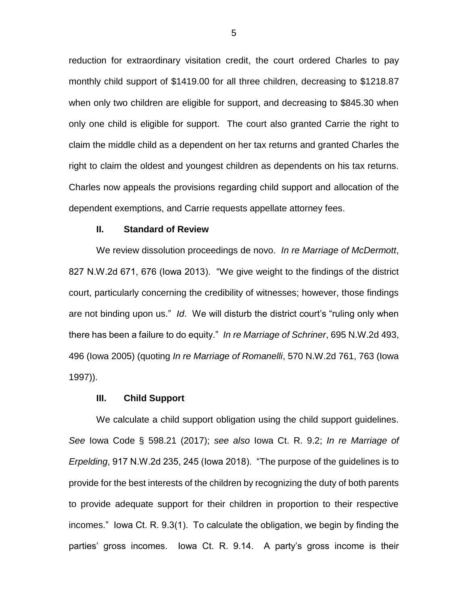reduction for extraordinary visitation credit, the court ordered Charles to pay monthly child support of \$1419.00 for all three children, decreasing to \$1218.87 when only two children are eligible for support, and decreasing to \$845.30 when only one child is eligible for support. The court also granted Carrie the right to claim the middle child as a dependent on her tax returns and granted Charles the right to claim the oldest and youngest children as dependents on his tax returns. Charles now appeals the provisions regarding child support and allocation of the dependent exemptions, and Carrie requests appellate attorney fees.

### **II. Standard of Review**

We review dissolution proceedings de novo. *In re Marriage of McDermott*, 827 N.W.2d 671, 676 (Iowa 2013). "We give weight to the findings of the district court, particularly concerning the credibility of witnesses; however, those findings are not binding upon us." *Id*. We will disturb the district court's "ruling only when there has been a failure to do equity." *In re Marriage of Schriner*, 695 N.W.2d 493, 496 (Iowa 2005) (quoting *In re Marriage of Romanelli*, 570 N.W.2d 761, 763 (Iowa 1997)).

#### **III. Child Support**

We calculate a child support obligation using the child support guidelines. *See* Iowa Code § 598.21 (2017); *see also* Iowa Ct. R. 9.2; *In re Marriage of Erpelding*, 917 N.W.2d 235, 245 (Iowa 2018). "The purpose of the guidelines is to provide for the best interests of the children by recognizing the duty of both parents to provide adequate support for their children in proportion to their respective incomes." Iowa Ct. R. 9.3(1). To calculate the obligation, we begin by finding the parties' gross incomes. Iowa Ct. R. 9.14. A party's gross income is their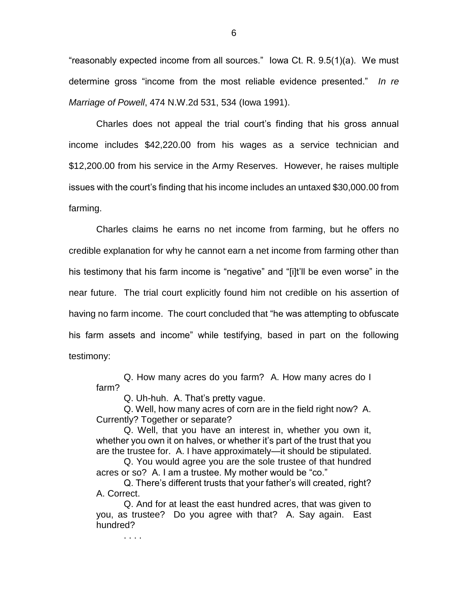"reasonably expected income from all sources." Iowa Ct. R. 9.5(1)(a). We must determine gross "income from the most reliable evidence presented." *In re Marriage of Powell*, 474 N.W.2d 531, 534 (Iowa 1991).

Charles does not appeal the trial court's finding that his gross annual income includes \$42,220.00 from his wages as a service technician and \$12,200.00 from his service in the Army Reserves. However, he raises multiple issues with the court's finding that his income includes an untaxed \$30,000.00 from farming.

Charles claims he earns no net income from farming, but he offers no credible explanation for why he cannot earn a net income from farming other than his testimony that his farm income is "negative" and "[i]t'll be even worse" in the near future. The trial court explicitly found him not credible on his assertion of having no farm income. The court concluded that "he was attempting to obfuscate his farm assets and income" while testifying, based in part on the following testimony:

Q. How many acres do you farm? A. How many acres do I farm?

Q. Uh-huh. A. That's pretty vague.

Q. Well, how many acres of corn are in the field right now? A. Currently? Together or separate?

Q. Well, that you have an interest in, whether you own it, whether you own it on halves, or whether it's part of the trust that you are the trustee for. A. I have approximately—it should be stipulated.

Q. You would agree you are the sole trustee of that hundred acres or so? A. I am a trustee. My mother would be "co."

Q. There's different trusts that your father's will created, right? A. Correct.

Q. And for at least the east hundred acres, that was given to you, as trustee? Do you agree with that? A. Say again. East hundred?

. . . .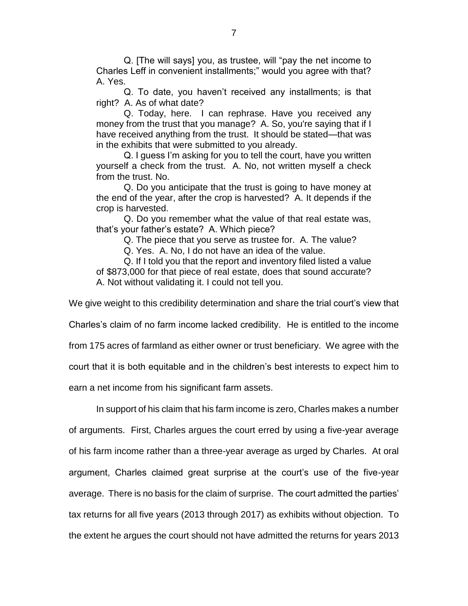Q. [The will says] you, as trustee, will "pay the net income to Charles Leff in convenient installments;" would you agree with that? A. Yes.

Q. To date, you haven't received any installments; is that right? A. As of what date?

Q. Today, here. I can rephrase. Have you received any money from the trust that you manage? A. So, you're saying that if I have received anything from the trust. It should be stated—that was in the exhibits that were submitted to you already.

Q. I guess I'm asking for you to tell the court, have you written yourself a check from the trust. A. No, not written myself a check from the trust. No.

Q. Do you anticipate that the trust is going to have money at the end of the year, after the crop is harvested? A. It depends if the crop is harvested.

Q. Do you remember what the value of that real estate was, that's your father's estate? A. Which piece?

Q. The piece that you serve as trustee for. A. The value?

Q. Yes. A. No, I do not have an idea of the value.

Q. If I told you that the report and inventory filed listed a value of \$873,000 for that piece of real estate, does that sound accurate? A. Not without validating it. I could not tell you.

We give weight to this credibility determination and share the trial court's view that

Charles's claim of no farm income lacked credibility. He is entitled to the income

from 175 acres of farmland as either owner or trust beneficiary. We agree with the

court that it is both equitable and in the children's best interests to expect him to

earn a net income from his significant farm assets.

In support of his claim that his farm income is zero, Charles makes a number of arguments. First, Charles argues the court erred by using a five-year average of his farm income rather than a three-year average as urged by Charles. At oral argument, Charles claimed great surprise at the court's use of the five-year average. There is no basis for the claim of surprise. The court admitted the parties' tax returns for all five years (2013 through 2017) as exhibits without objection. To the extent he argues the court should not have admitted the returns for years 2013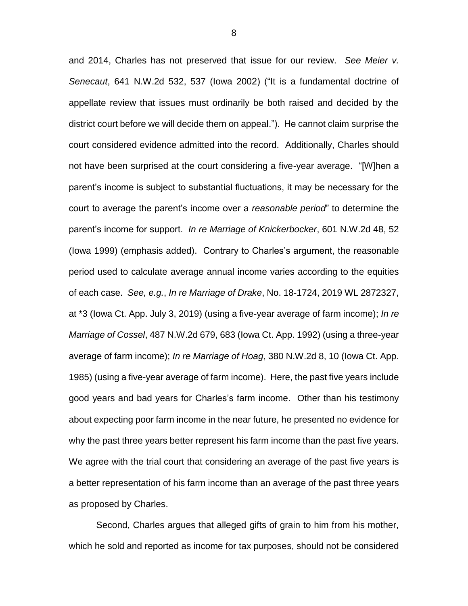and 2014, Charles has not preserved that issue for our review. *See Meier v. Senecaut*, 641 N.W.2d 532, 537 (Iowa 2002) ("It is a fundamental doctrine of appellate review that issues must ordinarily be both raised and decided by the district court before we will decide them on appeal."). He cannot claim surprise the court considered evidence admitted into the record. Additionally, Charles should not have been surprised at the court considering a five-year average. "[W]hen a parent's income is subject to substantial fluctuations, it may be necessary for the court to average the parent's income over a *reasonable period*" to determine the parent's income for support. *In re Marriage of Knickerbocker*, 601 N.W.2d 48, 52 (Iowa 1999) (emphasis added). Contrary to Charles's argument, the reasonable period used to calculate average annual income varies according to the equities of each case. *See, e.g.*, *In re Marriage of Drake*, No. 18-1724, 2019 WL 2872327, at \*3 (Iowa Ct. App. July 3, 2019) (using a five-year average of farm income); *In re Marriage of Cossel*, 487 N.W.2d 679, 683 (Iowa Ct. App. 1992) (using a three-year average of farm income); *In re Marriage of Hoag*, 380 N.W.2d 8, 10 (Iowa Ct. App. 1985) (using a five-year average of farm income). Here, the past five years include good years and bad years for Charles's farm income. Other than his testimony about expecting poor farm income in the near future, he presented no evidence for why the past three years better represent his farm income than the past five years. We agree with the trial court that considering an average of the past five years is a better representation of his farm income than an average of the past three years as proposed by Charles.

Second, Charles argues that alleged gifts of grain to him from his mother, which he sold and reported as income for tax purposes, should not be considered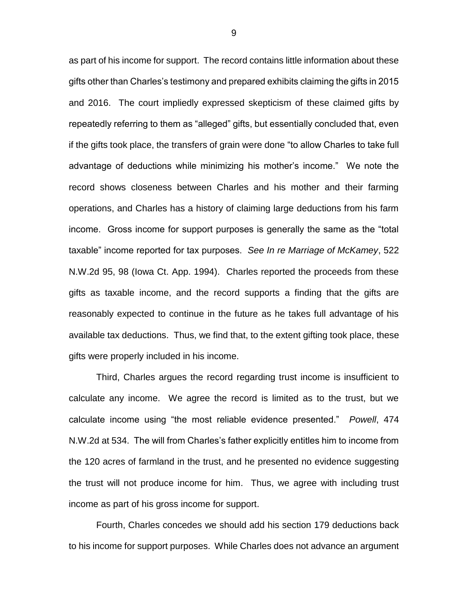as part of his income for support. The record contains little information about these gifts other than Charles's testimony and prepared exhibits claiming the gifts in 2015 and 2016. The court impliedly expressed skepticism of these claimed gifts by repeatedly referring to them as "alleged" gifts, but essentially concluded that, even if the gifts took place, the transfers of grain were done "to allow Charles to take full advantage of deductions while minimizing his mother's income." We note the record shows closeness between Charles and his mother and their farming operations, and Charles has a history of claiming large deductions from his farm income. Gross income for support purposes is generally the same as the "total taxable" income reported for tax purposes. *See In re Marriage of McKamey*, 522 N.W.2d 95, 98 (Iowa Ct. App. 1994).Charles reported the proceeds from these gifts as taxable income, and the record supports a finding that the gifts are reasonably expected to continue in the future as he takes full advantage of his available tax deductions. Thus, we find that, to the extent gifting took place, these gifts were properly included in his income.

Third, Charles argues the record regarding trust income is insufficient to calculate any income. We agree the record is limited as to the trust, but we calculate income using "the most reliable evidence presented." *Powell*, 474 N.W.2d at 534. The will from Charles's father explicitly entitles him to income from the 120 acres of farmland in the trust, and he presented no evidence suggesting the trust will not produce income for him. Thus, we agree with including trust income as part of his gross income for support.

Fourth, Charles concedes we should add his section 179 deductions back to his income for support purposes. While Charles does not advance an argument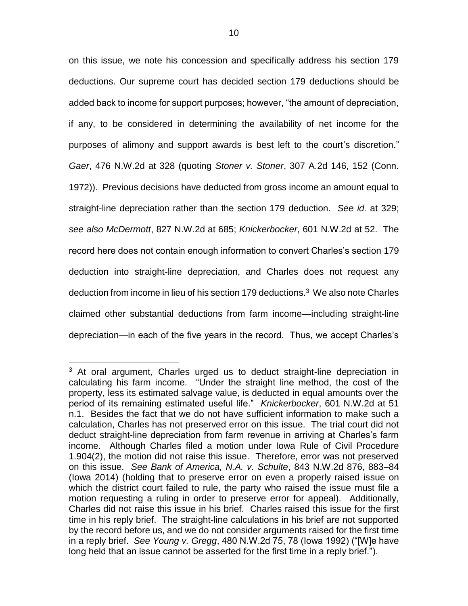on this issue, we note his concession and specifically address his section 179 deductions. Our supreme court has decided section 179 deductions should be added back to income for support purposes; however, "the amount of depreciation, if any, to be considered in determining the availability of net income for the purposes of alimony and support awards is best left to the court's discretion." *Gaer*, 476 N.W.2d at 328 (quoting *Stoner v. Stoner*, 307 A.2d 146, 152 (Conn. 1972)). Previous decisions have deducted from gross income an amount equal to straight-line depreciation rather than the section 179 deduction. *See id.* at 329; *see also McDermott*, 827 N.W.2d at 685; *Knickerbocker*, 601 N.W.2d at 52. The record here does not contain enough information to convert Charles's section 179 deduction into straight-line depreciation, and Charles does not request any deduction from income in lieu of his section 179 deductions.<sup>3</sup> We also note Charles claimed other substantial deductions from farm income—including straight-line depreciation—in each of the five years in the record. Thus, we accept Charles's

 $\overline{a}$ 

<sup>&</sup>lt;sup>3</sup> At oral argument, Charles urged us to deduct straight-line depreciation in calculating his farm income. "Under the straight line method, the cost of the property, less its estimated salvage value, is deducted in equal amounts over the period of its remaining estimated useful life." *Knickerbocker*, 601 N.W.2d at 51 n.1.Besides the fact that we do not have sufficient information to make such a calculation, Charles has not preserved error on this issue. The trial court did not deduct straight-line depreciation from farm revenue in arriving at Charles's farm income. Although Charles filed a motion under Iowa Rule of Civil Procedure 1.904(2), the motion did not raise this issue. Therefore, error was not preserved on this issue. *See Bank of America, N.A. v. Schulte*, 843 N.W.2d 876, 883–84 (Iowa 2014) (holding that to preserve error on even a properly raised issue on which the district court failed to rule, the party who raised the issue must file a motion requesting a ruling in order to preserve error for appeal). Additionally, Charles did not raise this issue in his brief. Charles raised this issue for the first time in his reply brief. The straight-line calculations in his brief are not supported by the record before us, and we do not consider arguments raised for the first time in a reply brief. *See Young v. Gregg*, 480 N.W.2d 75, 78 (Iowa 1992) ("[W]e have long held that an issue cannot be asserted for the first time in a reply brief.").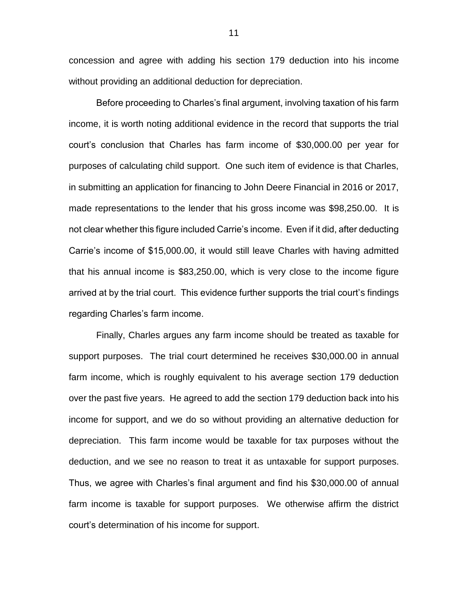concession and agree with adding his section 179 deduction into his income without providing an additional deduction for depreciation.

Before proceeding to Charles's final argument, involving taxation of his farm income, it is worth noting additional evidence in the record that supports the trial court's conclusion that Charles has farm income of \$30,000.00 per year for purposes of calculating child support. One such item of evidence is that Charles, in submitting an application for financing to John Deere Financial in 2016 or 2017, made representations to the lender that his gross income was \$98,250.00. It is not clear whether this figure included Carrie's income. Even if it did, after deducting Carrie's income of \$15,000.00, it would still leave Charles with having admitted that his annual income is \$83,250.00, which is very close to the income figure arrived at by the trial court. This evidence further supports the trial court's findings regarding Charles's farm income.

Finally, Charles argues any farm income should be treated as taxable for support purposes. The trial court determined he receives \$30,000.00 in annual farm income, which is roughly equivalent to his average section 179 deduction over the past five years. He agreed to add the section 179 deduction back into his income for support, and we do so without providing an alternative deduction for depreciation. This farm income would be taxable for tax purposes without the deduction, and we see no reason to treat it as untaxable for support purposes. Thus, we agree with Charles's final argument and find his \$30,000.00 of annual farm income is taxable for support purposes. We otherwise affirm the district court's determination of his income for support.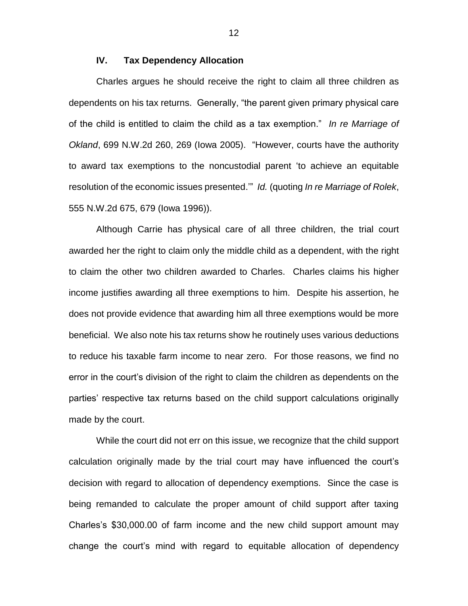## **IV. Tax Dependency Allocation**

Charles argues he should receive the right to claim all three children as dependents on his tax returns. Generally, "the parent given primary physical care of the child is entitled to claim the child as a tax exemption." *In re Marriage of Okland*, 699 N.W.2d 260, 269 (Iowa 2005). "However, courts have the authority to award tax exemptions to the noncustodial parent 'to achieve an equitable resolution of the economic issues presented.'" *Id.* (quoting *In re Marriage of Rolek*, 555 N.W.2d 675, 679 (Iowa 1996)).

Although Carrie has physical care of all three children, the trial court awarded her the right to claim only the middle child as a dependent, with the right to claim the other two children awarded to Charles. Charles claims his higher income justifies awarding all three exemptions to him. Despite his assertion, he does not provide evidence that awarding him all three exemptions would be more beneficial. We also note his tax returns show he routinely uses various deductions to reduce his taxable farm income to near zero. For those reasons, we find no error in the court's division of the right to claim the children as dependents on the parties' respective tax returns based on the child support calculations originally made by the court.

While the court did not err on this issue, we recognize that the child support calculation originally made by the trial court may have influenced the court's decision with regard to allocation of dependency exemptions. Since the case is being remanded to calculate the proper amount of child support after taxing Charles's \$30,000.00 of farm income and the new child support amount may change the court's mind with regard to equitable allocation of dependency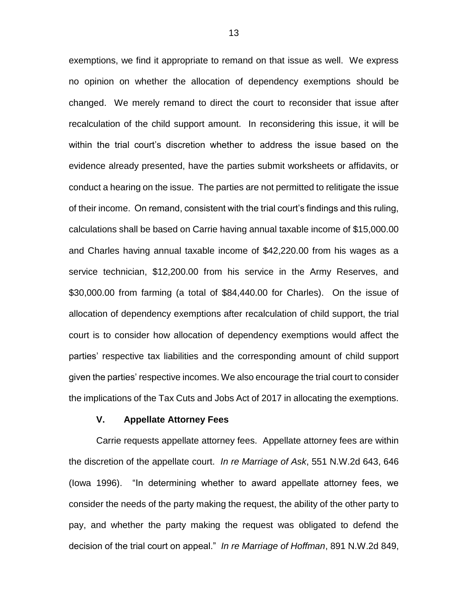exemptions, we find it appropriate to remand on that issue as well. We express no opinion on whether the allocation of dependency exemptions should be changed. We merely remand to direct the court to reconsider that issue after recalculation of the child support amount. In reconsidering this issue, it will be within the trial court's discretion whether to address the issue based on the evidence already presented, have the parties submit worksheets or affidavits, or conduct a hearing on the issue. The parties are not permitted to relitigate the issue of their income. On remand, consistent with the trial court's findings and this ruling, calculations shall be based on Carrie having annual taxable income of \$15,000.00 and Charles having annual taxable income of \$42,220.00 from his wages as a service technician, \$12,200.00 from his service in the Army Reserves, and \$30,000.00 from farming (a total of \$84,440.00 for Charles). On the issue of allocation of dependency exemptions after recalculation of child support, the trial court is to consider how allocation of dependency exemptions would affect the parties' respective tax liabilities and the corresponding amount of child support given the parties' respective incomes. We also encourage the trial court to consider the implications of the Tax Cuts and Jobs Act of 2017 in allocating the exemptions.

#### **V. Appellate Attorney Fees**

Carrie requests appellate attorney fees. Appellate attorney fees are within the discretion of the appellate court. *In re Marriage of Ask*, 551 N.W.2d 643, 646 (Iowa 1996). "In determining whether to award appellate attorney fees, we consider the needs of the party making the request, the ability of the other party to pay, and whether the party making the request was obligated to defend the decision of the trial court on appeal." *In re Marriage of Hoffman*, 891 N.W.2d 849,